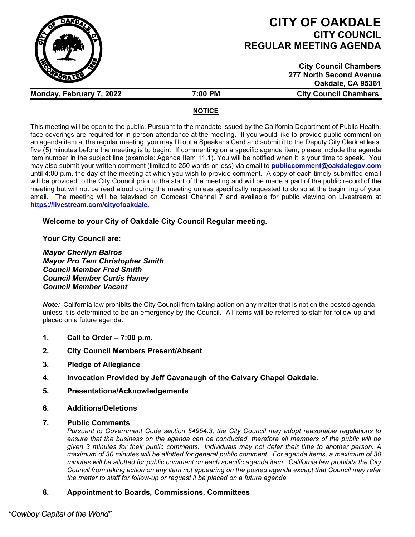

# **CITY OF OAKDALE CITY COUNCIL REGULAR MEETING AGENDA**

| <b>City Council Chambers</b> |
|------------------------------|
| 277 North Second Avenue      |
| Oakdale, CA 95361            |
| <b>City Council Chambers</b> |

## **NOTICE**

This meeting will be open to the public. Pursuant to the mandate issued by the California Department of Public Health, face coverings are required for in person attendance at the meeting. If you would like to provide public comment on an agenda item at the regular meeting, you may fill out a Speaker's Card and submit it to the Deputy City Clerk at least five (5) minutes before the meeting is to begin. If commenting on a specific agenda item, please include the agenda item number in the subject line (example: Agenda Item 11.1). You will be notified when it is your time to speak. You may also submit your written comment (limited to 250 words or less) via email to **[publiccomment@oakdalegov.com](mailto:publiccomment@oakdalegov.com)** until 4:00 p.m. the day of the meeting at which you wish to provide comment. A copy of each timely submitted email will be provided to the City Council prior to the start of the meeting and will be made a part of the public record of the meeting but will not be read aloud during the meeting unless specifically requested to do so at the beginning of your email. The meeting will be televised on Comcast Channel 7 and available for public viewing on Livestream at **<https://livestream.com/cityofoakdale>**.

# **Welcome to your City of Oakdale City Council Regular meeting.**

**Your City Council are:**

*Mayor Cherilyn Bairos Mayor Pro Tem Christopher Smith Council Member Fred Smith Council Member Curtis Haney Council Member Vacant*

*Note:* California law prohibits the City Council from taking action on any matter that is not on the posted agenda unless it is determined to be an emergency by the Council. All items will be referred to staff for follow-up and placed on a future agenda.

- **1. Call to Order – 7:00 p.m.**
- **2. City Council Members Present/Absent**

**Monday, February 7, 2022 7:00 PM** 

- **3. Pledge of Allegiance**
- **4. Invocation Provided by Jeff Cavanaugh of the Calvary Chapel Oakdale.**
- **5. Presentations/Acknowledgements**
- **6. Additions/Deletions**
- **7. Public Comments**

*Pursuant to Government Code section 54954.3, the City Council may adopt reasonable regulations to ensure that the business on the agenda can be conducted, therefore all members of the public will be given 3 minutes for their public comments. Individuals may not defer their time to another person. A maximum of 30 minutes will be allotted for general public comment. For agenda items, a maximum of 30 minutes will be allotted for public comment on each specific agenda item. California law prohibits the City Council from taking action on any item not appearing on the posted agenda except that Council may refer the matter to staff for follow-up or request it be placed on a future agenda.*

# **8. Appointment to Boards, Commissions, Committees**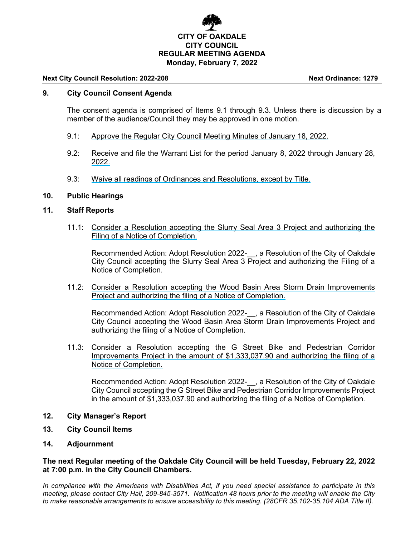

#### **Next City Council Resolution: 2022-208 Next Ordinance: 1279**

## **9. City Council Consent Agenda**

The consent agenda is comprised of Items 9.1 through 9.3. Unless there is discussion by a member of the audience/Council they may be approved in one motion.

- 9.1: Approve the Regular City Council Meeting Minutes of January 18, 2022.
- 9.2: Receive and file the Warrant List for the period January 8, 2022 through January 28, 2022.
- 9.3: Waive all readings of Ordinances and Resolutions, except by Title.

#### **10. Public Hearings**

#### **11. Staff Reports**

11.1: Consider a Resolution accepting the Slurry Seal Area 3 Project and authorizing the Filing of a Notice of Completion.

Recommended Action: Adopt Resolution 2022-\_\_, a Resolution of the City of Oakdale City Council accepting the Slurry Seal Area 3 Project and authorizing the Filing of a Notice of Completion.

11.2: Consider a Resolution accepting the Wood Basin Area Storm Drain Improvements Project and authorizing the filing of a Notice of Completion.

Recommended Action: Adopt Resolution 2022-\_\_, a Resolution of the City of Oakdale City Council accepting the Wood Basin Area Storm Drain Improvements Project and authorizing the filing of a Notice of Completion.

11.3: Consider a Resolution accepting the G Street Bike and Pedestrian Corridor Improvements Project in the amount of \$1,333,037.90 and authorizing the filing of a Notice of Completion.

Recommended Action: Adopt Resolution 2022-\_\_, a Resolution of the City of Oakdale City Council accepting the G Street Bike and Pedestrian Corridor Improvements Project in the amount of \$1,333,037.90 and authorizing the filing of a Notice of Completion.

- **12. City Manager's Report**
- **13. City Council Items**
- **14. Adjournment**

## **The next Regular meeting of the Oakdale City Council will be held Tuesday, February 22, 2022 at 7:00 p.m. in the City Council Chambers.**

*In compliance with the Americans with Disabilities Act, if you need special assistance to participate in this meeting, please contact City Hall, 209-845-3571. Notification 48 hours prior to the meeting will enable the City to make reasonable arrangements to ensure accessibility to this meeting. (28CFR 35.102-35.104 ADA Title II).*